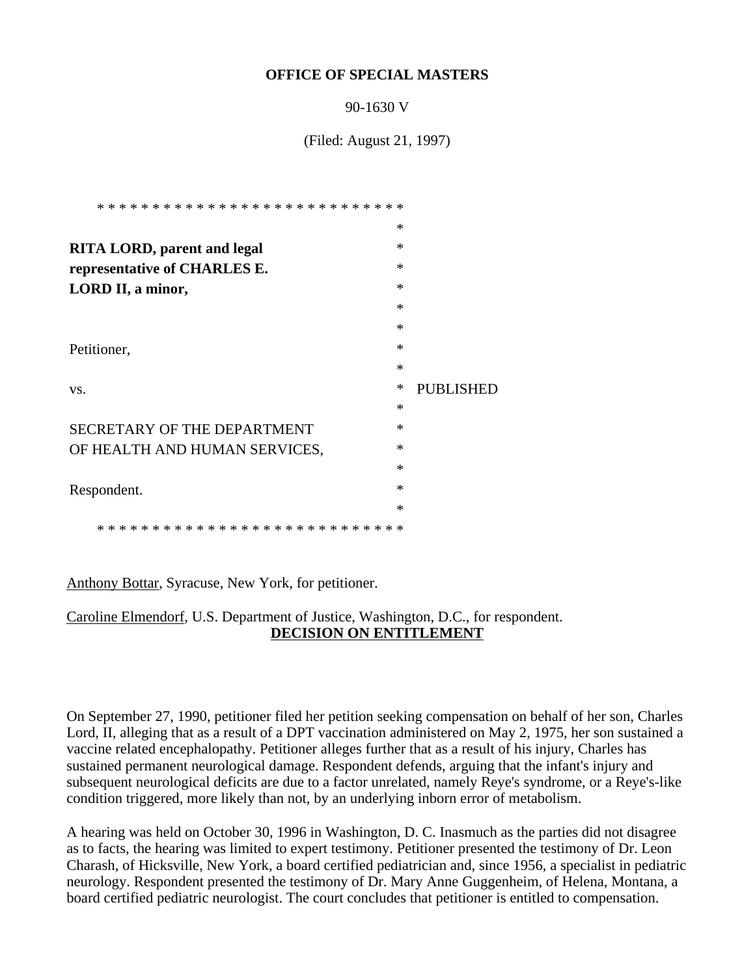### **OFFICE OF SPECIAL MASTERS**

90-1630 V

(Filed: August 21, 1997)

|                                               | $\ast$ |                  |
|-----------------------------------------------|--------|------------------|
| <b>RITA LORD, parent and legal</b>            | $\ast$ |                  |
| representative of CHARLES E.                  | $\ast$ |                  |
| LORD II, a minor,                             | $\ast$ |                  |
|                                               | $\ast$ |                  |
|                                               | $\ast$ |                  |
| Petitioner,                                   | $\ast$ |                  |
|                                               | $\ast$ |                  |
| VS.                                           | ∗      | <b>PUBLISHED</b> |
|                                               | $\ast$ |                  |
| SECRETARY OF THE DEPARTMENT                   | $\ast$ |                  |
| OF HEALTH AND HUMAN SERVICES,                 | $\ast$ |                  |
|                                               | $\ast$ |                  |
| Respondent.                                   | $\ast$ |                  |
|                                               | $\ast$ |                  |
| * * * * * * * * * * * * * * * * * * * *<br>-* | ∗      |                  |

Anthony Bottar, Syracuse, New York, for petitioner.

Caroline Elmendorf, U.S. Department of Justice, Washington, D.C., for respondent. **DECISION ON ENTITLEMENT**

On September 27, 1990, petitioner filed her petition seeking compensation on behalf of her son, Charles Lord, II, alleging that as a result of a DPT vaccination administered on May 2, 1975, her son sustained a vaccine related encephalopathy. Petitioner alleges further that as a result of his injury, Charles has sustained permanent neurological damage. Respondent defends, arguing that the infant's injury and subsequent neurological deficits are due to a factor unrelated, namely Reye's syndrome, or a Reye's-like condition triggered, more likely than not, by an underlying inborn error of metabolism.

A hearing was held on October 30, 1996 in Washington, D. C. Inasmuch as the parties did not disagree as to facts, the hearing was limited to expert testimony. Petitioner presented the testimony of Dr. Leon Charash, of Hicksville, New York, a board certified pediatrician and, since 1956, a specialist in pediatric neurology. Respondent presented the testimony of Dr. Mary Anne Guggenheim, of Helena, Montana, a board certified pediatric neurologist. The court concludes that petitioner is entitled to compensation.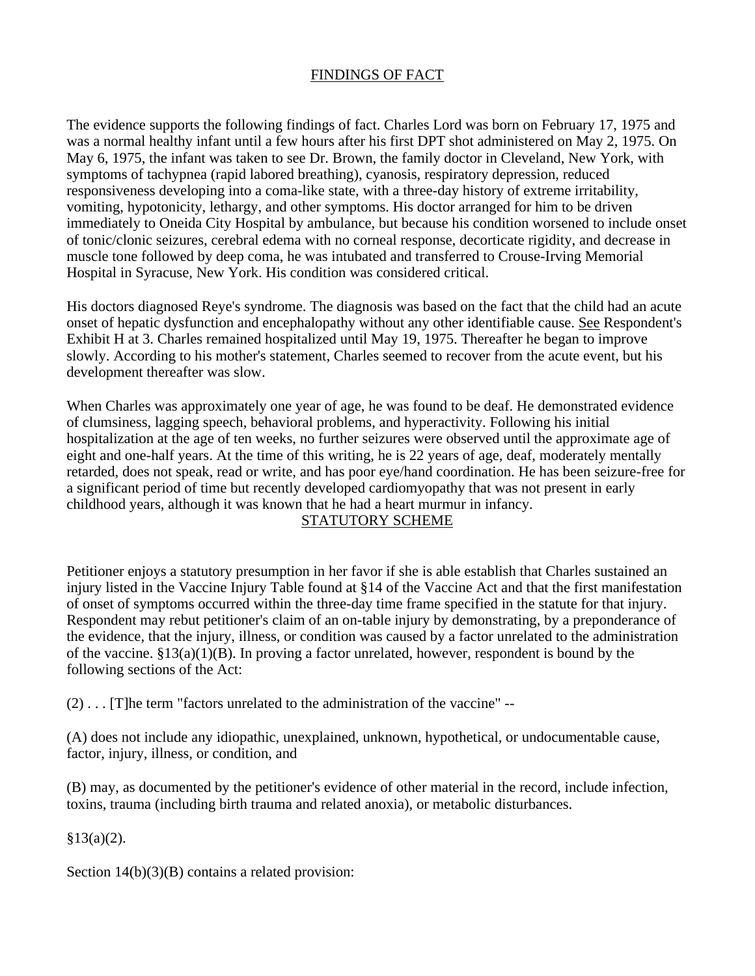# FINDINGS OF FACT

The evidence supports the following findings of fact. Charles Lord was born on February 17, 1975 and was a normal healthy infant until a few hours after his first DPT shot administered on May 2, 1975. On May 6, 1975, the infant was taken to see Dr. Brown, the family doctor in Cleveland, New York, with symptoms of tachypnea (rapid labored breathing), cyanosis, respiratory depression, reduced responsiveness developing into a coma-like state, with a three-day history of extreme irritability, vomiting, hypotonicity, lethargy, and other symptoms. His doctor arranged for him to be driven immediately to Oneida City Hospital by ambulance, but because his condition worsened to include onset of tonic/clonic seizures, cerebral edema with no corneal response, decorticate rigidity, and decrease in muscle tone followed by deep coma, he was intubated and transferred to Crouse-Irving Memorial Hospital in Syracuse, New York. His condition was considered critical.

His doctors diagnosed Reye's syndrome. The diagnosis was based on the fact that the child had an acute onset of hepatic dysfunction and encephalopathy without any other identifiable cause. See Respondent's Exhibit H at 3. Charles remained hospitalized until May 19, 1975. Thereafter he began to improve slowly. According to his mother's statement, Charles seemed to recover from the acute event, but his development thereafter was slow.

When Charles was approximately one year of age, he was found to be deaf. He demonstrated evidence of clumsiness, lagging speech, behavioral problems, and hyperactivity. Following his initial hospitalization at the age of ten weeks, no further seizures were observed until the approximate age of eight and one-half years. At the time of this writing, he is 22 years of age, deaf, moderately mentally retarded, does not speak, read or write, and has poor eye/hand coordination. He has been seizure-free for a significant period of time but recently developed cardiomyopathy that was not present in early childhood years, although it was known that he had a heart murmur in infancy.

### STATUTORY SCHEME

Petitioner enjoys a statutory presumption in her favor if she is able establish that Charles sustained an injury listed in the Vaccine Injury Table found at §14 of the Vaccine Act and that the first manifestation of onset of symptoms occurred within the three-day time frame specified in the statute for that injury. Respondent may rebut petitioner's claim of an on-table injury by demonstrating, by a preponderance of the evidence, that the injury, illness, or condition was caused by a factor unrelated to the administration of the vaccine. §13(a)(1)(B). In proving a factor unrelated, however, respondent is bound by the following sections of the Act:

(2) . . . [T]he term "factors unrelated to the administration of the vaccine" --

(A) does not include any idiopathic, unexplained, unknown, hypothetical, or undocumentable cause, factor, injury, illness, or condition, and

(B) may, as documented by the petitioner's evidence of other material in the record, include infection, toxins, trauma (including birth trauma and related anoxia), or metabolic disturbances.

 $§13(a)(2).$ 

Section  $14(b)(3)(B)$  contains a related provision: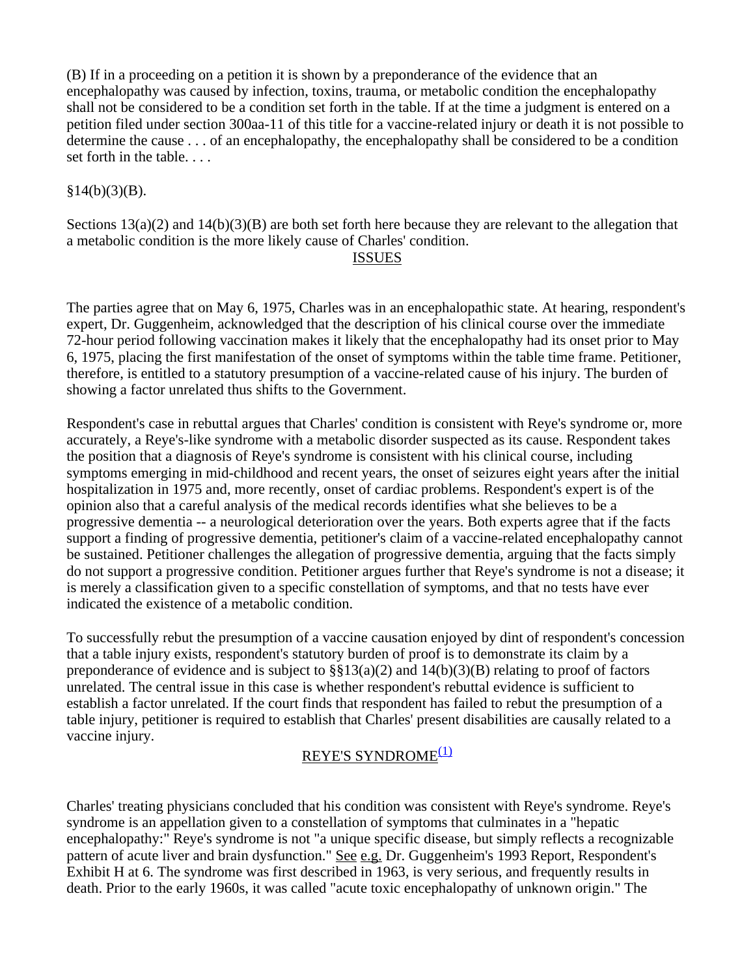(B) If in a proceeding on a petition it is shown by a preponderance of the evidence that an encephalopathy was caused by infection, toxins, trauma, or metabolic condition the encephalopathy shall not be considered to be a condition set forth in the table. If at the time a judgment is entered on a petition filed under section 300aa-11 of this title for a vaccine-related injury or death it is not possible to determine the cause . . . of an encephalopathy, the encephalopathy shall be considered to be a condition set forth in the table. . . .

### $§14(b)(3)(B).$

Sections  $13(a)(2)$  and  $14(b)(3)(B)$  are both set forth here because they are relevant to the allegation that a metabolic condition is the more likely cause of Charles' condition.

### ISSUES

The parties agree that on May 6, 1975, Charles was in an encephalopathic state. At hearing, respondent's expert, Dr. Guggenheim, acknowledged that the description of his clinical course over the immediate 72-hour period following vaccination makes it likely that the encephalopathy had its onset prior to May 6, 1975, placing the first manifestation of the onset of symptoms within the table time frame. Petitioner, therefore, is entitled to a statutory presumption of a vaccine-related cause of his injury. The burden of showing a factor unrelated thus shifts to the Government.

Respondent's case in rebuttal argues that Charles' condition is consistent with Reye's syndrome or, more accurately, a Reye's-like syndrome with a metabolic disorder suspected as its cause. Respondent takes the position that a diagnosis of Reye's syndrome is consistent with his clinical course, including symptoms emerging in mid-childhood and recent years, the onset of seizures eight years after the initial hospitalization in 1975 and, more recently, onset of cardiac problems. Respondent's expert is of the opinion also that a careful analysis of the medical records identifies what she believes to be a progressive dementia -- a neurological deterioration over the years. Both experts agree that if the facts support a finding of progressive dementia, petitioner's claim of a vaccine-related encephalopathy cannot be sustained. Petitioner challenges the allegation of progressive dementia, arguing that the facts simply do not support a progressive condition. Petitioner argues further that Reye's syndrome is not a disease; it is merely a classification given to a specific constellation of symptoms, and that no tests have ever indicated the existence of a metabolic condition.

To successfully rebut the presumption of a vaccine causation enjoyed by dint of respondent's concession that a table injury exists, respondent's statutory burden of proof is to demonstrate its claim by a preponderance of evidence and is subject to  $\S$ §13(a)(2) and 14(b)(3)(B) relating to proof of factors unrelated. The central issue in this case is whether respondent's rebuttal evidence is sufficient to establish a factor unrelated. If the court finds that respondent has failed to rebut the presumption of a table injury, petitioner is required to establish that Charles' present disabilities are causally related to a vaccine injury.

# REYE'S SYNDROME(1)

Charles' treating physicians concluded that his condition was consistent with Reye's syndrome. Reye's syndrome is an appellation given to a constellation of symptoms that culminates in a "hepatic encephalopathy:" Reye's syndrome is not "a unique specific disease, but simply reflects a recognizable pattern of acute liver and brain dysfunction." See e.g. Dr. Guggenheim's 1993 Report, Respondent's Exhibit H at 6. The syndrome was first described in 1963, is very serious, and frequently results in death. Prior to the early 1960s, it was called "acute toxic encephalopathy of unknown origin." The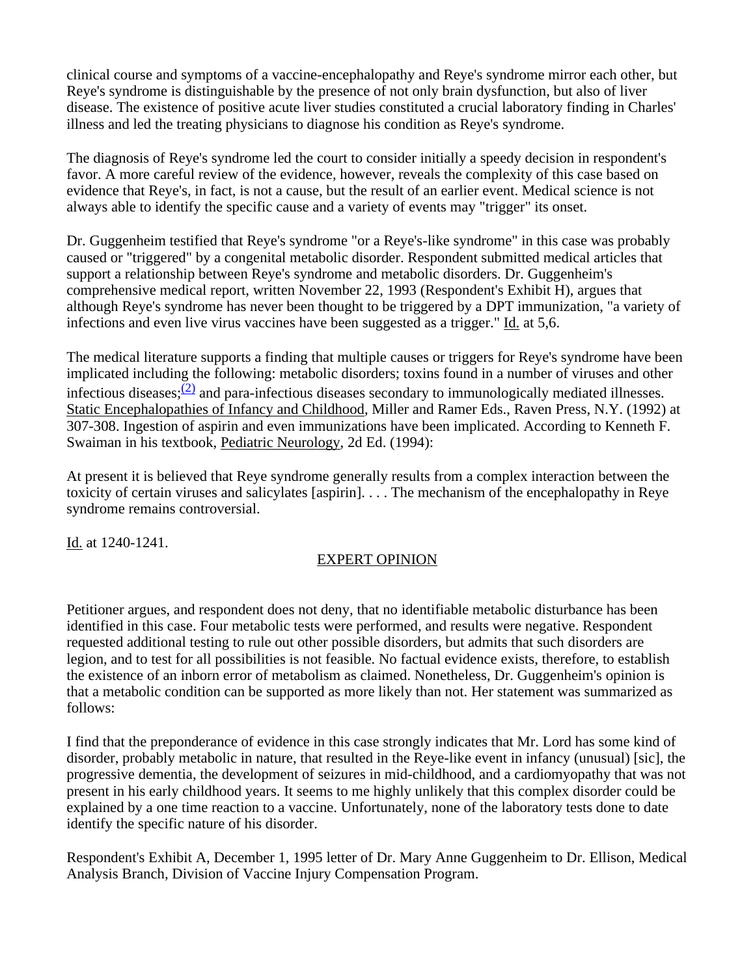clinical course and symptoms of a vaccine-encephalopathy and Reye's syndrome mirror each other, but Reye's syndrome is distinguishable by the presence of not only brain dysfunction, but also of liver disease. The existence of positive acute liver studies constituted a crucial laboratory finding in Charles' illness and led the treating physicians to diagnose his condition as Reye's syndrome.

The diagnosis of Reye's syndrome led the court to consider initially a speedy decision in respondent's favor. A more careful review of the evidence, however, reveals the complexity of this case based on evidence that Reye's, in fact, is not a cause, but the result of an earlier event. Medical science is not always able to identify the specific cause and a variety of events may "trigger" its onset.

Dr. Guggenheim testified that Reye's syndrome "or a Reye's-like syndrome" in this case was probably caused or "triggered" by a congenital metabolic disorder. Respondent submitted medical articles that support a relationship between Reye's syndrome and metabolic disorders. Dr. Guggenheim's comprehensive medical report, written November 22, 1993 (Respondent's Exhibit H), argues that although Reye's syndrome has never been thought to be triggered by a DPT immunization, "a variety of infections and even live virus vaccines have been suggested as a trigger." Id. at 5,6.

The medical literature supports a finding that multiple causes or triggers for Reye's syndrome have been implicated including the following: metabolic disorders; toxins found in a number of viruses and other infectious diseases; $\frac{(2)}{2}$  and para-infectious diseases secondary to immunologically mediated illnesses. Static Encephalopathies of Infancy and Childhood, Miller and Ramer Eds., Raven Press, N.Y. (1992) at 307-308. Ingestion of aspirin and even immunizations have been implicated. According to Kenneth F. Swaiman in his textbook, Pediatric Neurology, 2d Ed. (1994):

At present it is believed that Reye syndrome generally results from a complex interaction between the toxicity of certain viruses and salicylates [aspirin]. . . . The mechanism of the encephalopathy in Reye syndrome remains controversial.

Id. at 1240-1241.

# EXPERT OPINION

Petitioner argues, and respondent does not deny, that no identifiable metabolic disturbance has been identified in this case. Four metabolic tests were performed, and results were negative. Respondent requested additional testing to rule out other possible disorders, but admits that such disorders are legion, and to test for all possibilities is not feasible. No factual evidence exists, therefore, to establish the existence of an inborn error of metabolism as claimed. Nonetheless, Dr. Guggenheim's opinion is that a metabolic condition can be supported as more likely than not. Her statement was summarized as follows:

I find that the preponderance of evidence in this case strongly indicates that Mr. Lord has some kind of disorder, probably metabolic in nature, that resulted in the Reye-like event in infancy (unusual) [sic], the progressive dementia, the development of seizures in mid-childhood, and a cardiomyopathy that was not present in his early childhood years. It seems to me highly unlikely that this complex disorder could be explained by a one time reaction to a vaccine. Unfortunately, none of the laboratory tests done to date identify the specific nature of his disorder.

Respondent's Exhibit A, December 1, 1995 letter of Dr. Mary Anne Guggenheim to Dr. Ellison, Medical Analysis Branch, Division of Vaccine Injury Compensation Program.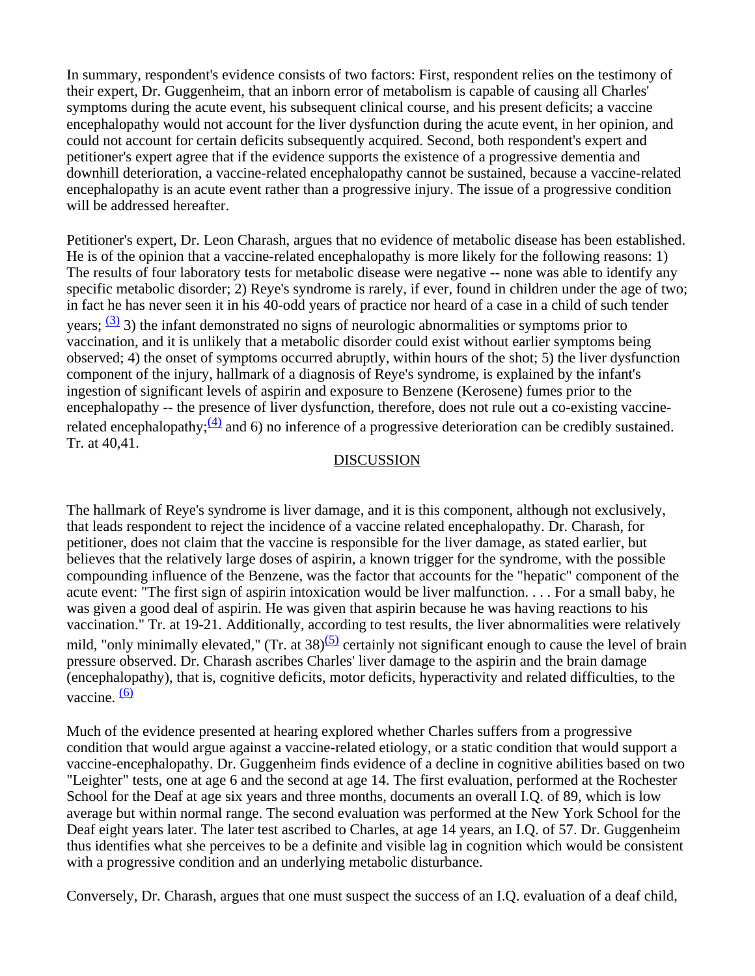In summary, respondent's evidence consists of two factors: First, respondent relies on the testimony of their expert, Dr. Guggenheim, that an inborn error of metabolism is capable of causing all Charles' symptoms during the acute event, his subsequent clinical course, and his present deficits; a vaccine encephalopathy would not account for the liver dysfunction during the acute event, in her opinion, and could not account for certain deficits subsequently acquired. Second, both respondent's expert and petitioner's expert agree that if the evidence supports the existence of a progressive dementia and downhill deterioration, a vaccine-related encephalopathy cannot be sustained, because a vaccine-related encephalopathy is an acute event rather than a progressive injury. The issue of a progressive condition will be addressed hereafter.

Petitioner's expert, Dr. Leon Charash, argues that no evidence of metabolic disease has been established. He is of the opinion that a vaccine-related encephalopathy is more likely for the following reasons: 1) The results of four laboratory tests for metabolic disease were negative -- none was able to identify any specific metabolic disorder; 2) Reye's syndrome is rarely, if ever, found in children under the age of two; in fact he has never seen it in his 40-odd years of practice nor heard of a case in a child of such tender years;  $\frac{(3)}{2}$  3) the infant demonstrated no signs of neurologic abnormalities or symptoms prior to vaccination, and it is unlikely that a metabolic disorder could exist without earlier symptoms being observed; 4) the onset of symptoms occurred abruptly, within hours of the shot; 5) the liver dysfunction component of the injury, hallmark of a diagnosis of Reye's syndrome, is explained by the infant's ingestion of significant levels of aspirin and exposure to Benzene (Kerosene) fumes prior to the encephalopathy -- the presence of liver dysfunction, therefore, does not rule out a co-existing vaccinerelated encephalopathy; $\frac{(4)}{2}$  and 6) no inference of a progressive deterioration can be credibly sustained. Tr. at 40,41.

#### DISCUSSION

The hallmark of Reye's syndrome is liver damage, and it is this component, although not exclusively, that leads respondent to reject the incidence of a vaccine related encephalopathy. Dr. Charash, for petitioner, does not claim that the vaccine is responsible for the liver damage, as stated earlier, but believes that the relatively large doses of aspirin, a known trigger for the syndrome, with the possible compounding influence of the Benzene, was the factor that accounts for the "hepatic" component of the acute event: "The first sign of aspirin intoxication would be liver malfunction. . . . For a small baby, he was given a good deal of aspirin. He was given that aspirin because he was having reactions to his vaccination." Tr. at 19-21. Additionally, according to test results, the liver abnormalities were relatively mild, "only minimally elevated," (Tr. at  $38^{5}$ ) certainly not significant enough to cause the level of brain pressure observed. Dr. Charash ascribes Charles' liver damage to the aspirin and the brain damage (encephalopathy), that is, cognitive deficits, motor deficits, hyperactivity and related difficulties, to the vaccine.  $\frac{(6)}{6}$ 

Much of the evidence presented at hearing explored whether Charles suffers from a progressive condition that would argue against a vaccine-related etiology, or a static condition that would support a vaccine-encephalopathy. Dr. Guggenheim finds evidence of a decline in cognitive abilities based on two "Leighter" tests, one at age 6 and the second at age 14. The first evaluation, performed at the Rochester School for the Deaf at age six years and three months, documents an overall I.Q. of 89, which is low average but within normal range. The second evaluation was performed at the New York School for the Deaf eight years later. The later test ascribed to Charles, at age 14 years, an I.Q. of 57. Dr. Guggenheim thus identifies what she perceives to be a definite and visible lag in cognition which would be consistent with a progressive condition and an underlying metabolic disturbance.

Conversely, Dr. Charash, argues that one must suspect the success of an I.Q. evaluation of a deaf child,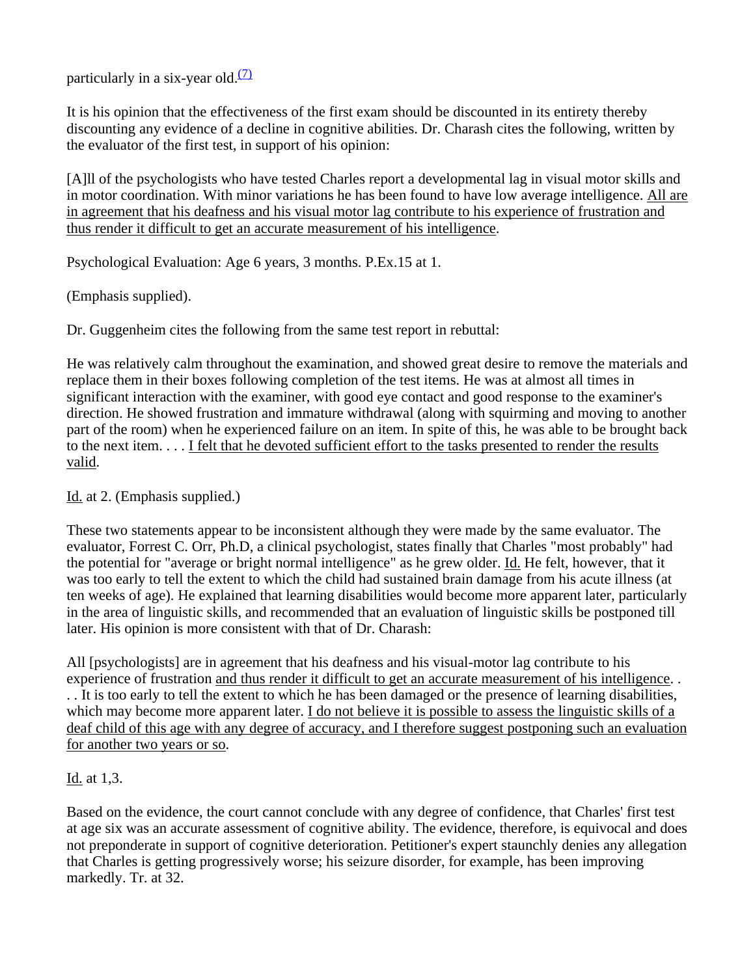particularly in a six-year old. $(7)$ 

It is his opinion that the effectiveness of the first exam should be discounted in its entirety thereby discounting any evidence of a decline in cognitive abilities. Dr. Charash cites the following, written by the evaluator of the first test, in support of his opinion:

[A]ll of the psychologists who have tested Charles report a developmental lag in visual motor skills and in motor coordination. With minor variations he has been found to have low average intelligence. All are in agreement that his deafness and his visual motor lag contribute to his experience of frustration and thus render it difficult to get an accurate measurement of his intelligence.

Psychological Evaluation: Age 6 years, 3 months. P.Ex.15 at 1.

(Emphasis supplied).

Dr. Guggenheim cites the following from the same test report in rebuttal:

He was relatively calm throughout the examination, and showed great desire to remove the materials and replace them in their boxes following completion of the test items. He was at almost all times in significant interaction with the examiner, with good eye contact and good response to the examiner's direction. He showed frustration and immature withdrawal (along with squirming and moving to another part of the room) when he experienced failure on an item. In spite of this, he was able to be brought back to the next item. . . . I felt that he devoted sufficient effort to the tasks presented to render the results valid.

Id. at 2. (Emphasis supplied.)

These two statements appear to be inconsistent although they were made by the same evaluator. The evaluator, Forrest C. Orr, Ph.D, a clinical psychologist, states finally that Charles "most probably" had the potential for "average or bright normal intelligence" as he grew older. Id. He felt, however, that it was too early to tell the extent to which the child had sustained brain damage from his acute illness (at ten weeks of age). He explained that learning disabilities would become more apparent later, particularly in the area of linguistic skills, and recommended that an evaluation of linguistic skills be postponed till later. His opinion is more consistent with that of Dr. Charash:

All [psychologists] are in agreement that his deafness and his visual-motor lag contribute to his experience of frustration and thus render it difficult to get an accurate measurement of his intelligence. . . . It is too early to tell the extent to which he has been damaged or the presence of learning disabilities, which may become more apparent later. I do not believe it is possible to assess the linguistic skills of a deaf child of this age with any degree of accuracy, and I therefore suggest postponing such an evaluation for another two years or so.

### Id. at 1,3.

Based on the evidence, the court cannot conclude with any degree of confidence, that Charles' first test at age six was an accurate assessment of cognitive ability. The evidence, therefore, is equivocal and does not preponderate in support of cognitive deterioration. Petitioner's expert staunchly denies any allegation that Charles is getting progressively worse; his seizure disorder, for example, has been improving markedly. Tr. at 32.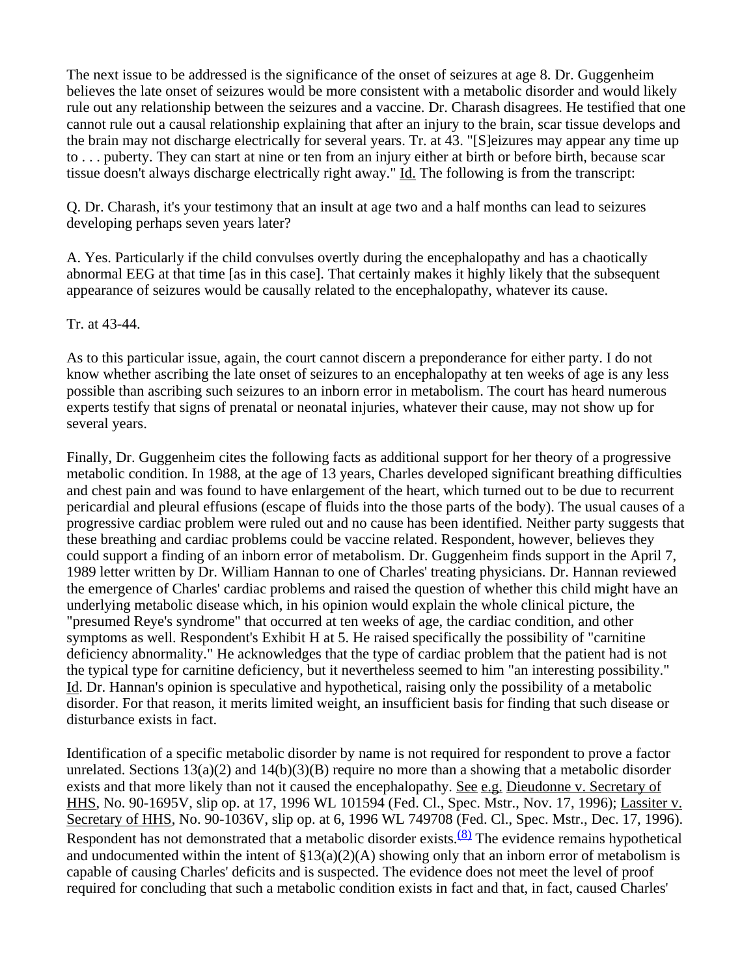The next issue to be addressed is the significance of the onset of seizures at age 8. Dr. Guggenheim believes the late onset of seizures would be more consistent with a metabolic disorder and would likely rule out any relationship between the seizures and a vaccine. Dr. Charash disagrees. He testified that one cannot rule out a causal relationship explaining that after an injury to the brain, scar tissue develops and the brain may not discharge electrically for several years. Tr. at 43. "[S]eizures may appear any time up to . . . puberty. They can start at nine or ten from an injury either at birth or before birth, because scar tissue doesn't always discharge electrically right away." Id. The following is from the transcript:

Q. Dr. Charash, it's your testimony that an insult at age two and a half months can lead to seizures developing perhaps seven years later?

A. Yes. Particularly if the child convulses overtly during the encephalopathy and has a chaotically abnormal EEG at that time [as in this case]. That certainly makes it highly likely that the subsequent appearance of seizures would be causally related to the encephalopathy, whatever its cause.

Tr. at 43-44.

As to this particular issue, again, the court cannot discern a preponderance for either party. I do not know whether ascribing the late onset of seizures to an encephalopathy at ten weeks of age is any less possible than ascribing such seizures to an inborn error in metabolism. The court has heard numerous experts testify that signs of prenatal or neonatal injuries, whatever their cause, may not show up for several years.

Finally, Dr. Guggenheim cites the following facts as additional support for her theory of a progressive metabolic condition. In 1988, at the age of 13 years, Charles developed significant breathing difficulties and chest pain and was found to have enlargement of the heart, which turned out to be due to recurrent pericardial and pleural effusions (escape of fluids into the those parts of the body). The usual causes of a progressive cardiac problem were ruled out and no cause has been identified. Neither party suggests that these breathing and cardiac problems could be vaccine related. Respondent, however, believes they could support a finding of an inborn error of metabolism. Dr. Guggenheim finds support in the April 7, 1989 letter written by Dr. William Hannan to one of Charles' treating physicians. Dr. Hannan reviewed the emergence of Charles' cardiac problems and raised the question of whether this child might have an underlying metabolic disease which, in his opinion would explain the whole clinical picture, the "presumed Reye's syndrome" that occurred at ten weeks of age, the cardiac condition, and other symptoms as well. Respondent's Exhibit H at 5. He raised specifically the possibility of "carnitine deficiency abnormality." He acknowledges that the type of cardiac problem that the patient had is not the typical type for carnitine deficiency, but it nevertheless seemed to him "an interesting possibility." Id. Dr. Hannan's opinion is speculative and hypothetical, raising only the possibility of a metabolic disorder. For that reason, it merits limited weight, an insufficient basis for finding that such disease or disturbance exists in fact.

Identification of a specific metabolic disorder by name is not required for respondent to prove a factor unrelated. Sections  $13(a)(2)$  and  $14(b)(3)(B)$  require no more than a showing that a metabolic disorder exists and that more likely than not it caused the encephalopathy. See e.g. Dieudonne v. Secretary of HHS, No. 90-1695V, slip op. at 17, 1996 WL 101594 (Fed. Cl., Spec. Mstr., Nov. 17, 1996); Lassiter v. Secretary of HHS, No. 90-1036V, slip op. at 6, 1996 WL 749708 (Fed. Cl., Spec. Mstr., Dec. 17, 1996). Respondent has not demonstrated that a metabolic disorder exists.<sup>(8)</sup> The evidence remains hypothetical and undocumented within the intent of  $\S13(a)(2)(A)$  showing only that an inborn error of metabolism is capable of causing Charles' deficits and is suspected. The evidence does not meet the level of proof required for concluding that such a metabolic condition exists in fact and that, in fact, caused Charles'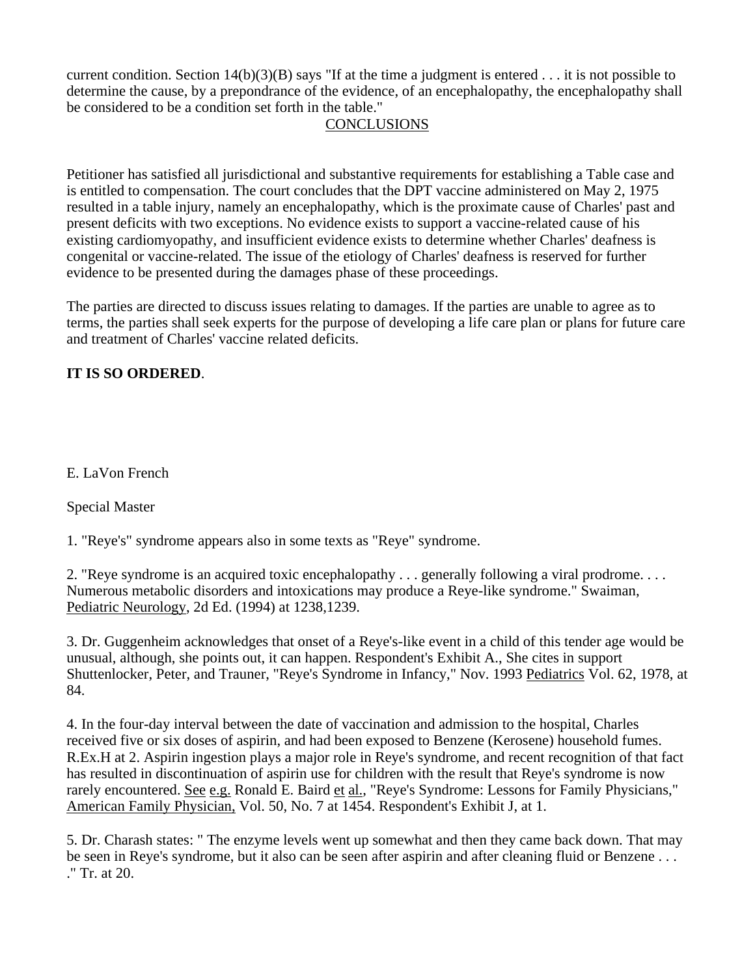current condition. Section  $14(b)(3)(B)$  says "If at the time a judgment is entered . . . it is not possible to determine the cause, by a prepondrance of the evidence, of an encephalopathy, the encephalopathy shall be considered to be a condition set forth in the table."

## **CONCLUSIONS**

Petitioner has satisfied all jurisdictional and substantive requirements for establishing a Table case and is entitled to compensation. The court concludes that the DPT vaccine administered on May 2, 1975 resulted in a table injury, namely an encephalopathy, which is the proximate cause of Charles' past and present deficits with two exceptions. No evidence exists to support a vaccine-related cause of his existing cardiomyopathy, and insufficient evidence exists to determine whether Charles' deafness is congenital or vaccine-related. The issue of the etiology of Charles' deafness is reserved for further evidence to be presented during the damages phase of these proceedings.

The parties are directed to discuss issues relating to damages. If the parties are unable to agree as to terms, the parties shall seek experts for the purpose of developing a life care plan or plans for future care and treatment of Charles' vaccine related deficits.

### **IT IS SO ORDERED**.

E. LaVon French

Special Master

1. "Reye's" syndrome appears also in some texts as "Reye" syndrome.

2. "Reye syndrome is an acquired toxic encephalopathy . . . generally following a viral prodrome. . . . Numerous metabolic disorders and intoxications may produce a Reye-like syndrome." Swaiman, Pediatric Neurology, 2d Ed. (1994) at 1238,1239.

3. Dr. Guggenheim acknowledges that onset of a Reye's-like event in a child of this tender age would be unusual, although, she points out, it can happen. Respondent's Exhibit A., She cites in support Shuttenlocker, Peter, and Trauner, "Reye's Syndrome in Infancy," Nov. 1993 Pediatrics Vol. 62, 1978, at 84.

4. In the four-day interval between the date of vaccination and admission to the hospital, Charles received five or six doses of aspirin, and had been exposed to Benzene (Kerosene) household fumes. R.Ex.H at 2. Aspirin ingestion plays a major role in Reye's syndrome, and recent recognition of that fact has resulted in discontinuation of aspirin use for children with the result that Reye's syndrome is now rarely encountered. See e.g. Ronald E. Baird et al., "Reye's Syndrome: Lessons for Family Physicians," American Family Physician, Vol. 50, No. 7 at 1454. Respondent's Exhibit J, at 1.

5. Dr. Charash states: " The enzyme levels went up somewhat and then they came back down. That may be seen in Reye's syndrome, but it also can be seen after aspirin and after cleaning fluid or Benzene . . . ." Tr. at 20.